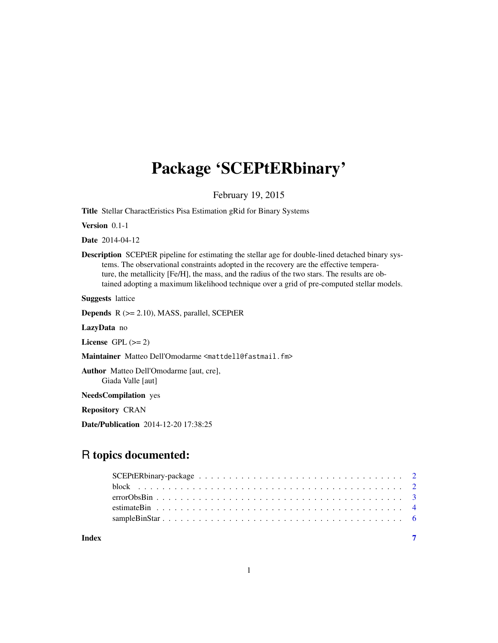## Package 'SCEPtERbinary'

February 19, 2015

Title Stellar CharactEristics Pisa Estimation gRid for Binary Systems

Version 0.1-1

Date 2014-04-12

Description SCEPtER pipeline for estimating the stellar age for double-lined detached binary systems. The observational constraints adopted in the recovery are the effective temperature, the metallicity [Fe/H], the mass, and the radius of the two stars. The results are obtained adopting a maximum likelihood technique over a grid of pre-computed stellar models.

Suggests lattice

Depends R (>= 2.10), MASS, parallel, SCEPtER

LazyData no

License GPL  $(>= 2)$ 

Maintainer Matteo Dell'Omodarme <mattdell@fastmail.fm>

Author Matteo Dell'Omodarme [aut, cre], Giada Valle [aut]

NeedsCompilation yes

Repository CRAN

Date/Publication 2014-12-20 17:38:25

### R topics documented:

**Index** [7](#page-6-0) **7**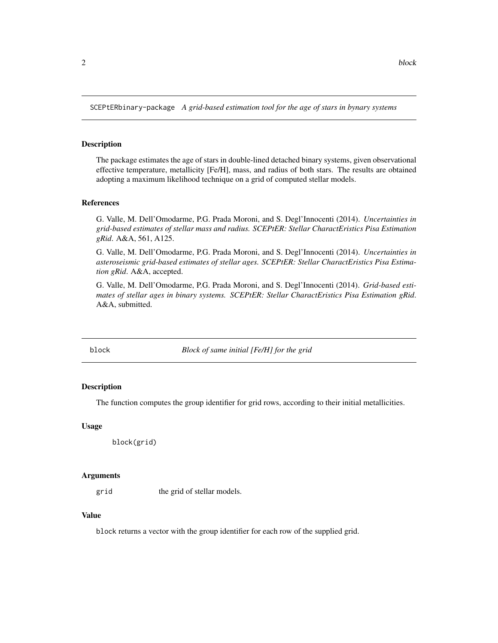<span id="page-1-0"></span>SCEPtERbinary-package *A grid-based estimation tool for the age of stars in bynary systems*

#### Description

The package estimates the age of stars in double-lined detached binary systems, given observational effective temperature, metallicity [Fe/H], mass, and radius of both stars. The results are obtained adopting a maximum likelihood technique on a grid of computed stellar models.

#### References

G. Valle, M. Dell'Omodarme, P.G. Prada Moroni, and S. Degl'Innocenti (2014). *Uncertainties in grid-based estimates of stellar mass and radius. SCEPtER: Stellar CharactEristics Pisa Estimation gRid*. A&A, 561, A125.

G. Valle, M. Dell'Omodarme, P.G. Prada Moroni, and S. Degl'Innocenti (2014). *Uncertainties in asteroseismic grid-based estimates of stellar ages. SCEPtER: Stellar CharactEristics Pisa Estimation gRid*. A&A, accepted.

G. Valle, M. Dell'Omodarme, P.G. Prada Moroni, and S. Degl'Innocenti (2014). *Grid-based estimates of stellar ages in binary systems. SCEPtER: Stellar CharactEristics Pisa Estimation gRid*. A&A, submitted.

block *Block of same initial [Fe/H] for the grid*

#### Description

The function computes the group identifier for grid rows, according to their initial metallicities.

#### Usage

```
block(grid)
```
#### Arguments

grid the grid of stellar models.

#### Value

block returns a vector with the group identifier for each row of the supplied grid.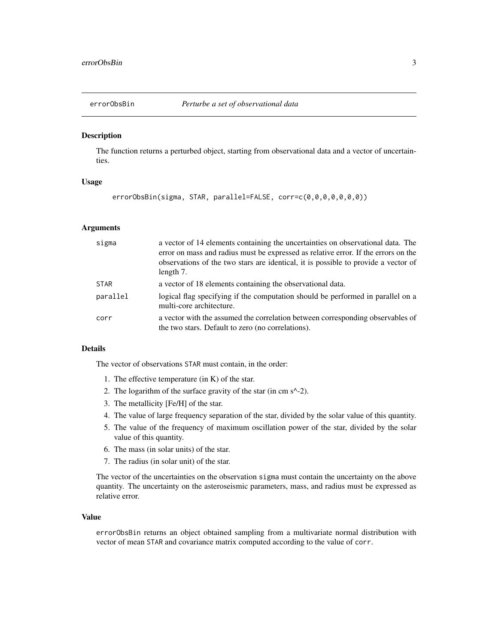<span id="page-2-0"></span>

#### Description

The function returns a perturbed object, starting from observational data and a vector of uncertainties.

#### Usage

```
errorObsBin(sigma, STAR, parallel=FALSE, corr=c(0,0,0,0,0,0,0))
```
#### Arguments

| sigma       | a vector of 14 elements containing the uncertainties on observational data. The<br>error on mass and radius must be expressed as relative error. If the errors on the<br>observations of the two stars are identical, it is possible to provide a vector of<br>length 7. |
|-------------|--------------------------------------------------------------------------------------------------------------------------------------------------------------------------------------------------------------------------------------------------------------------------|
| <b>STAR</b> | a vector of 18 elements containing the observational data.                                                                                                                                                                                                               |
| parallel    | logical flag specifying if the computation should be performed in parallel on a<br>multi-core architecture.                                                                                                                                                              |
| corr        | a vector with the assumed the correlation between corresponding observables of<br>the two stars. Default to zero (no correlations).                                                                                                                                      |

#### Details

The vector of observations STAR must contain, in the order:

- 1. The effective temperature (in K) of the star.
- 2. The logarithm of the surface gravity of the star (in cm s^-2).
- 3. The metallicity [Fe/H] of the star.
- 4. The value of large frequency separation of the star, divided by the solar value of this quantity.
- 5. The value of the frequency of maximum oscillation power of the star, divided by the solar value of this quantity.
- 6. The mass (in solar units) of the star.
- 7. The radius (in solar unit) of the star.

The vector of the uncertainties on the observation sigma must contain the uncertainty on the above quantity. The uncertainty on the asteroseismic parameters, mass, and radius must be expressed as relative error.

#### Value

errorObsBin returns an object obtained sampling from a multivariate normal distribution with vector of mean STAR and covariance matrix computed according to the value of corr.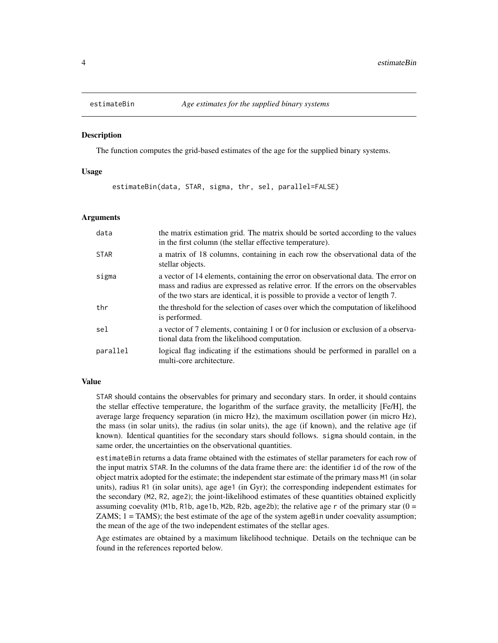<span id="page-3-0"></span>

#### Description

The function computes the grid-based estimates of the age for the supplied binary systems.

#### Usage

estimateBin(data, STAR, sigma, thr, sel, parallel=FALSE)

#### Arguments

| data        | the matrix estimation grid. The matrix should be sorted according to the values<br>in the first column (the stellar effective temperature).                                                                                                               |
|-------------|-----------------------------------------------------------------------------------------------------------------------------------------------------------------------------------------------------------------------------------------------------------|
| <b>STAR</b> | a matrix of 18 columns, containing in each row the observational data of the<br>stellar objects.                                                                                                                                                          |
| sigma       | a vector of 14 elements, containing the error on observational data. The error on<br>mass and radius are expressed as relative error. If the errors on the observables<br>of the two stars are identical, it is possible to provide a vector of length 7. |
| thr         | the threshold for the selection of cases over which the computation of likelihood<br>is performed.                                                                                                                                                        |
| sel         | a vector of 7 elements, containing 1 or 0 for inclusion or exclusion of a observa-<br>tional data from the likelihood computation.                                                                                                                        |
| parallel    | logical flag indicating if the estimations should be performed in parallel on a<br>multi-core architecture.                                                                                                                                               |

#### Value

STAR should contains the observables for primary and secondary stars. In order, it should contains the stellar effective temperature, the logarithm of the surface gravity, the metallicity [Fe/H], the average large frequency separation (in micro Hz), the maximum oscillation power (in micro Hz), the mass (in solar units), the radius (in solar units), the age (if known), and the relative age (if known). Identical quantities for the secondary stars should follows. sigma should contain, in the same order, the uncertainties on the observational quantities.

estimateBin returns a data frame obtained with the estimates of stellar parameters for each row of the input matrix STAR. In the columns of the data frame there are: the identifier id of the row of the object matrix adopted for the estimate; the independent star estimate of the primary mass M1 (in solar units), radius R1 (in solar units), age age1 (in Gyr); the corresponding independent estimates for the secondary (M2, R2, age2); the joint-likelihood estimates of these quantities obtained explicitly assuming coevality (M1b, R1b, age1b, M2b, R2b, age2b); the relative age  $r$  of the primary star ( $0 =$ ZAMS;  $1 = TAMS$ ; the best estimate of the age of the system ageBin under coevality assumption; the mean of the age of the two independent estimates of the stellar ages.

Age estimates are obtained by a maximum likelihood technique. Details on the technique can be found in the references reported below.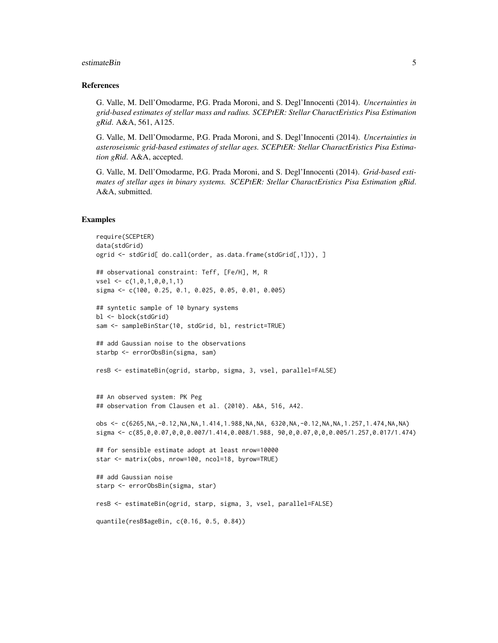#### estimateBin 5

#### References

G. Valle, M. Dell'Omodarme, P.G. Prada Moroni, and S. Degl'Innocenti (2014). *Uncertainties in grid-based estimates of stellar mass and radius. SCEPtER: Stellar CharactEristics Pisa Estimation gRid*. A&A, 561, A125.

G. Valle, M. Dell'Omodarme, P.G. Prada Moroni, and S. Degl'Innocenti (2014). *Uncertainties in asteroseismic grid-based estimates of stellar ages. SCEPtER: Stellar CharactEristics Pisa Estimation gRid*. A&A, accepted.

G. Valle, M. Dell'Omodarme, P.G. Prada Moroni, and S. Degl'Innocenti (2014). *Grid-based estimates of stellar ages in binary systems. SCEPtER: Stellar CharactEristics Pisa Estimation gRid*. A&A, submitted.

#### Examples

```
require(SCEPtER)
data(stdGrid)
ogrid <- stdGrid[ do.call(order, as.data.frame(stdGrid[,1])), ]
## observational constraint: Teff, [Fe/H], M, R
vsel <- c(1,0,1,0,0,1,1)
sigma <- c(100, 0.25, 0.1, 0.025, 0.05, 0.01, 0.005)
## syntetic sample of 10 bynary systems
bl <- block(stdGrid)
sam <- sampleBinStar(10, stdGrid, bl, restrict=TRUE)
## add Gaussian noise to the observations
starbp <- errorObsBin(sigma, sam)
resB <- estimateBin(ogrid, starbp, sigma, 3, vsel, parallel=FALSE)
## An observed system: PK Peg
## observation from Clausen et al. (2010). A&A, 516, A42.
obs <- c(6265,NA,-0.12,NA,NA,1.414,1.988,NA,NA, 6320,NA,-0.12,NA,NA,1.257,1.474,NA,NA)
sigma <- c(85,0,0.07,0,0,0.007/1.414,0.008/1.988, 90,0,0.07,0,0,0.005/1.257,0.017/1.474)
## for sensible estimate adopt at least nrow=10000
star <- matrix(obs, nrow=100, ncol=18, byrow=TRUE)
## add Gaussian noise
starp <- errorObsBin(sigma, star)
resB <- estimateBin(ogrid, starp, sigma, 3, vsel, parallel=FALSE)
quantile(resB$ageBin, c(0.16, 0.5, 0.84))
```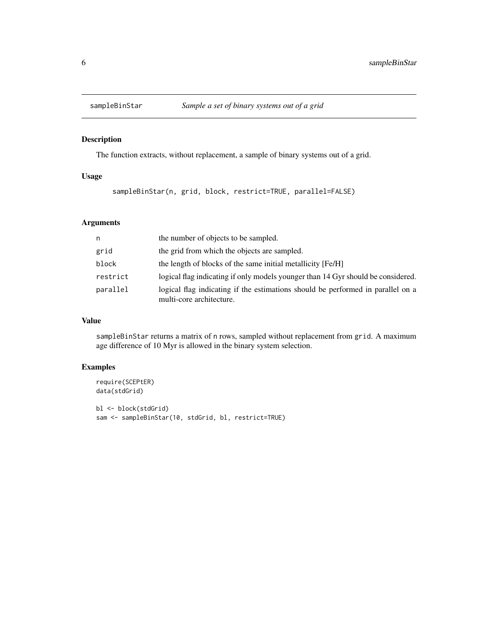<span id="page-5-0"></span>

#### Description

The function extracts, without replacement, a sample of binary systems out of a grid.

#### Usage

sampleBinStar(n, grid, block, restrict=TRUE, parallel=FALSE)

#### Arguments

| n        | the number of objects to be sampled.                                                                        |
|----------|-------------------------------------------------------------------------------------------------------------|
| grid     | the grid from which the objects are sampled.                                                                |
| block    | the length of blocks of the same initial metallicity [Fe/H]                                                 |
| restrict | logical flag indicating if only models younger than 14 Gyr should be considered.                            |
| parallel | logical flag indicating if the estimations should be performed in parallel on a<br>multi-core architecture. |

#### Value

sampleBinStar returns a matrix of n rows, sampled without replacement from grid. A maximum age difference of 10 Myr is allowed in the binary system selection.

#### Examples

```
require(SCEPtER)
data(stdGrid)
bl <- block(stdGrid)
sam <- sampleBinStar(10, stdGrid, bl, restrict=TRUE)
```